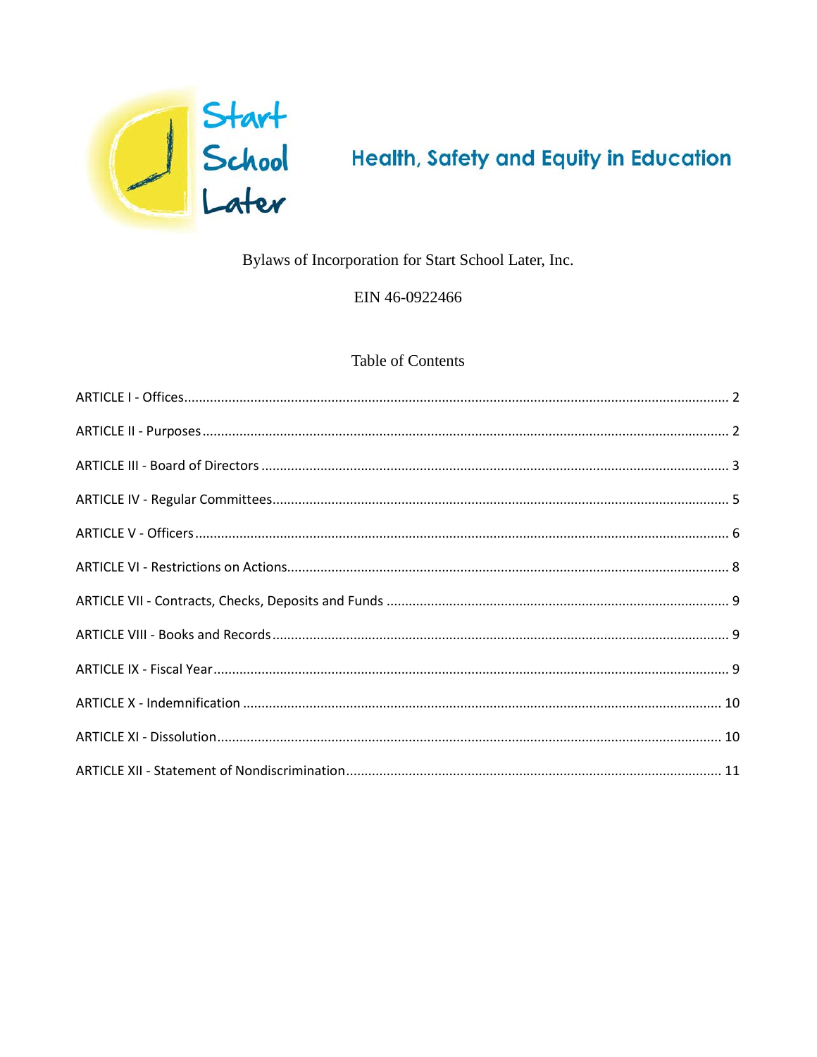

# **Health, Safety and Equity in Education**

## Bylaws of Incorporation for Start School Later, Inc.

## EIN 46-0922466

## **Table of Contents**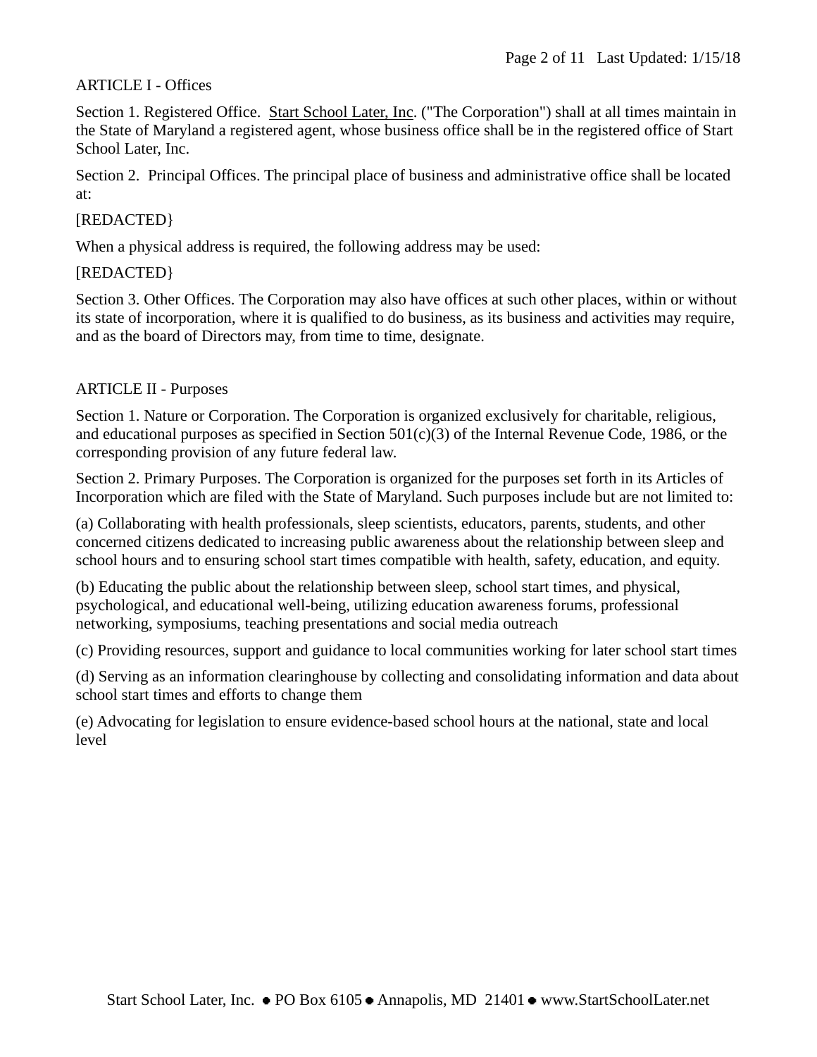## <span id="page-1-0"></span>ARTICLE I - Offices

Section 1. Registered Office. Start School Later, Inc. ("The Corporation") shall at all times maintain in the State of Maryland a registered agent, whose business office shall be in the registered office of Start School Later, Inc.

Section 2. Principal Offices. The principal place of business and administrative office shall be located at:

## [REDACTED}

When a physical address is required, the following address may be used:

## [REDACTED}

Section 3. Other Offices. The Corporation may also have offices at such other places, within or without its state of incorporation, where it is qualified to do business, as its business and activities may require, and as the board of Directors may, from time to time, designate.

## <span id="page-1-1"></span>ARTICLE II - Purposes

Section 1. Nature or Corporation. The Corporation is organized exclusively for charitable, religious, and educational purposes as specified in Section 501(c)(3) of the Internal Revenue Code, 1986, or the corresponding provision of any future federal law.

Section 2. Primary Purposes. The Corporation is organized for the purposes set forth in its Articles of Incorporation which are filed with the State of Maryland. Such purposes include but are not limited to:

(a) Collaborating with health professionals, sleep scientists, educators, parents, students, and other concerned citizens dedicated to increasing public awareness about the relationship between sleep and school hours and to ensuring school start times compatible with health, safety, education, and equity.

(b) Educating the public about the relationship between sleep, school start times, and physical, psychological, and educational well-being, utilizing education awareness forums, professional networking, symposiums, teaching presentations and social media outreach

(c) Providing resources, support and guidance to local communities working for later school start times

(d) Serving as an information clearinghouse by collecting and consolidating information and data about school start times and efforts to change them

(e) Advocating for legislation to ensure evidence-based school hours at the national, state and local level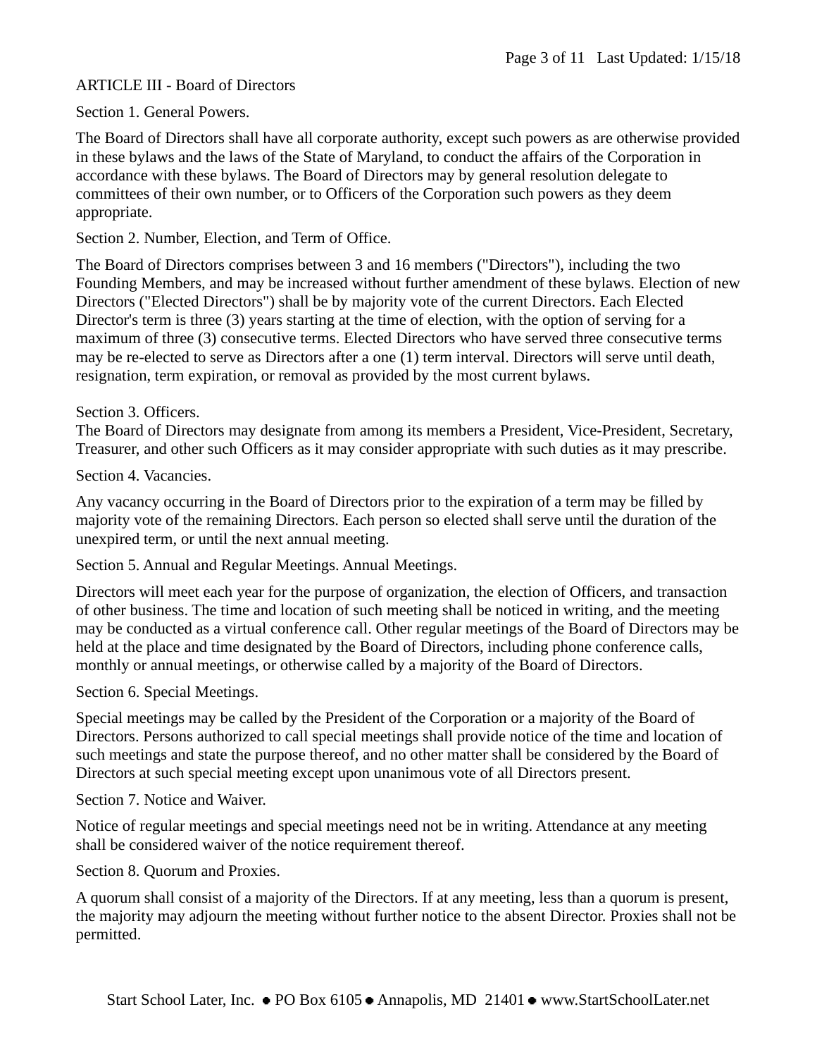## <span id="page-2-0"></span>ARTICLE III - Board of Directors

Section 1. General Powers.

The Board of Directors shall have all corporate authority, except such powers as are otherwise provided in these bylaws and the laws of the State of Maryland, to conduct the affairs of the Corporation in accordance with these bylaws. The Board of Directors may by general resolution delegate to committees of their own number, or to Officers of the Corporation such powers as they deem appropriate.

Section 2. Number, Election, and Term of Office.

The Board of Directors comprises between 3 and 16 members ("Directors"), including the two Founding Members, and may be increased without further amendment of these bylaws. Election of new Directors ("Elected Directors") shall be by majority vote of the current Directors. Each Elected Director's term is three (3) years starting at the time of election, with the option of serving for a maximum of three (3) consecutive terms. Elected Directors who have served three consecutive terms may be re-elected to serve as Directors after a one (1) term interval. Directors will serve until death, resignation, term expiration, or removal as provided by the most current bylaws.

## Section 3. Officers.

The Board of Directors may designate from among its members a President, Vice-President, Secretary, Treasurer, and other such Officers as it may consider appropriate with such duties as it may prescribe.

Section 4. Vacancies.

Any vacancy occurring in the Board of Directors prior to the expiration of a term may be filled by majority vote of the remaining Directors. Each person so elected shall serve until the duration of the unexpired term, or until the next annual meeting.

Section 5. Annual and Regular Meetings. Annual Meetings.

Directors will meet each year for the purpose of organization, the election of Officers, and transaction of other business. The time and location of such meeting shall be noticed in writing, and the meeting may be conducted as a virtual conference call. Other regular meetings of the Board of Directors may be held at the place and time designated by the Board of Directors, including phone conference calls, monthly or annual meetings, or otherwise called by a majority of the Board of Directors.

Section 6. Special Meetings.

Special meetings may be called by the President of the Corporation or a majority of the Board of Directors. Persons authorized to call special meetings shall provide notice of the time and location of such meetings and state the purpose thereof, and no other matter shall be considered by the Board of Directors at such special meeting except upon unanimous vote of all Directors present.

Section 7. Notice and Waiver.

Notice of regular meetings and special meetings need not be in writing. Attendance at any meeting shall be considered waiver of the notice requirement thereof.

Section 8. Quorum and Proxies.

A quorum shall consist of a majority of the Directors. If at any meeting, less than a quorum is present, the majority may adjourn the meeting without further notice to the absent Director. Proxies shall not be permitted.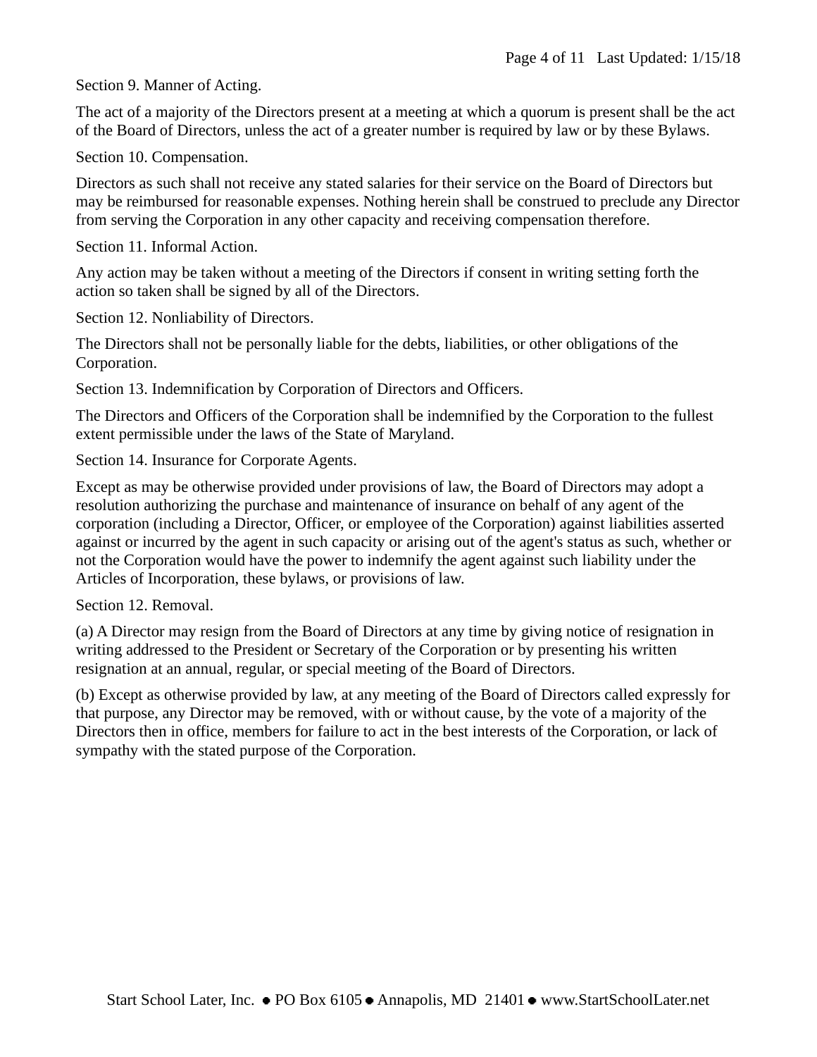Section 9. Manner of Acting.

The act of a majority of the Directors present at a meeting at which a quorum is present shall be the act of the Board of Directors, unless the act of a greater number is required by law or by these Bylaws.

Section 10. Compensation.

Directors as such shall not receive any stated salaries for their service on the Board of Directors but may be reimbursed for reasonable expenses. Nothing herein shall be construed to preclude any Director from serving the Corporation in any other capacity and receiving compensation therefore.

Section 11. Informal Action.

Any action may be taken without a meeting of the Directors if consent in writing setting forth the action so taken shall be signed by all of the Directors.

Section 12. Nonliability of Directors.

The Directors shall not be personally liable for the debts, liabilities, or other obligations of the Corporation.

Section 13. Indemnification by Corporation of Directors and Officers.

The Directors and Officers of the Corporation shall be indemnified by the Corporation to the fullest extent permissible under the laws of the State of Maryland.

Section 14. Insurance for Corporate Agents.

Except as may be otherwise provided under provisions of law, the Board of Directors may adopt a resolution authorizing the purchase and maintenance of insurance on behalf of any agent of the corporation (including a Director, Officer, or employee of the Corporation) against liabilities asserted against or incurred by the agent in such capacity or arising out of the agent's status as such, whether or not the Corporation would have the power to indemnify the agent against such liability under the Articles of Incorporation, these bylaws, or provisions of law.

Section 12. Removal.

(a) A Director may resign from the Board of Directors at any time by giving notice of resignation in writing addressed to the President or Secretary of the Corporation or by presenting his written resignation at an annual, regular, or special meeting of the Board of Directors.

(b) Except as otherwise provided by law, at any meeting of the Board of Directors called expressly for that purpose, any Director may be removed, with or without cause, by the vote of a majority of the Directors then in office, members for failure to act in the best interests of the Corporation, or lack of sympathy with the stated purpose of the Corporation.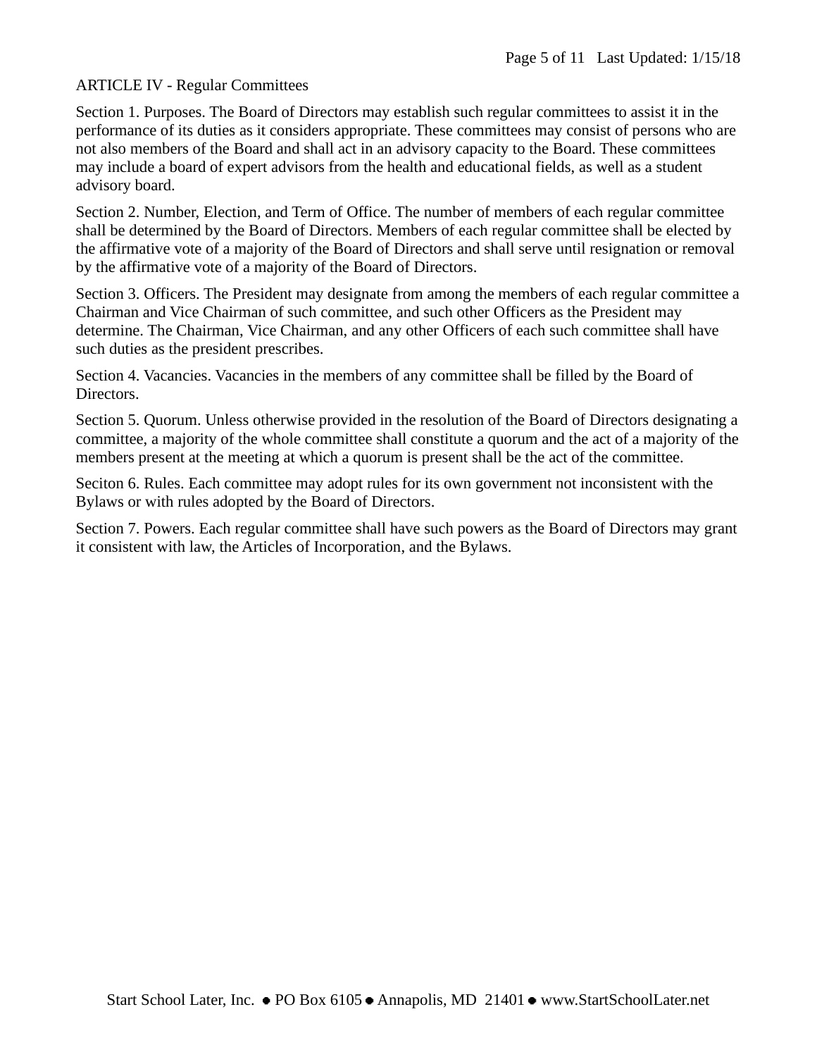#### <span id="page-4-0"></span>ARTICLE IV - Regular Committees

Section 1. Purposes. The Board of Directors may establish such regular committees to assist it in the performance of its duties as it considers appropriate. These committees may consist of persons who are not also members of the Board and shall act in an advisory capacity to the Board. These committees may include a board of expert advisors from the health and educational fields, as well as a student advisory board.

Section 2. Number, Election, and Term of Office. The number of members of each regular committee shall be determined by the Board of Directors. Members of each regular committee shall be elected by the affirmative vote of a majority of the Board of Directors and shall serve until resignation or removal by the affirmative vote of a majority of the Board of Directors.

Section 3. Officers. The President may designate from among the members of each regular committee a Chairman and Vice Chairman of such committee, and such other Officers as the President may determine. The Chairman, Vice Chairman, and any other Officers of each such committee shall have such duties as the president prescribes.

Section 4. Vacancies. Vacancies in the members of any committee shall be filled by the Board of Directors.

Section 5. Quorum. Unless otherwise provided in the resolution of the Board of Directors designating a committee, a majority of the whole committee shall constitute a quorum and the act of a majority of the members present at the meeting at which a quorum is present shall be the act of the committee.

Seciton 6. Rules. Each committee may adopt rules for its own government not inconsistent with the Bylaws or with rules adopted by the Board of Directors.

Section 7. Powers. Each regular committee shall have such powers as the Board of Directors may grant it consistent with law, the Articles of Incorporation, and the Bylaws.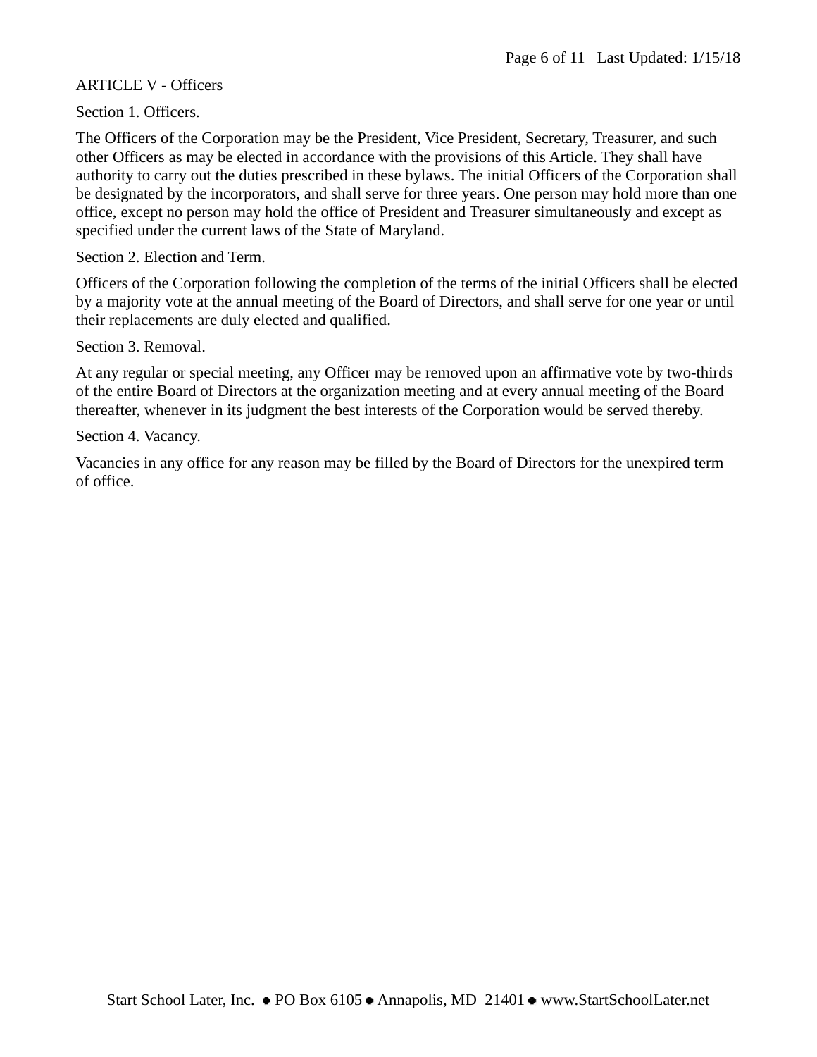#### <span id="page-5-0"></span>ARTICLE V - Officers

Section 1. Officers.

The Officers of the Corporation may be the President, Vice President, Secretary, Treasurer, and such other Officers as may be elected in accordance with the provisions of this Article. They shall have authority to carry out the duties prescribed in these bylaws. The initial Officers of the Corporation shall be designated by the incorporators, and shall serve for three years. One person may hold more than one office, except no person may hold the office of President and Treasurer simultaneously and except as specified under the current laws of the State of Maryland.

Section 2. Election and Term.

Officers of the Corporation following the completion of the terms of the initial Officers shall be elected by a majority vote at the annual meeting of the Board of Directors, and shall serve for one year or until their replacements are duly elected and qualified.

Section 3. Removal.

At any regular or special meeting, any Officer may be removed upon an affirmative vote by two-thirds of the entire Board of Directors at the organization meeting and at every annual meeting of the Board thereafter, whenever in its judgment the best interests of the Corporation would be served thereby.

Section 4. Vacancy.

Vacancies in any office for any reason may be filled by the Board of Directors for the unexpired term of office.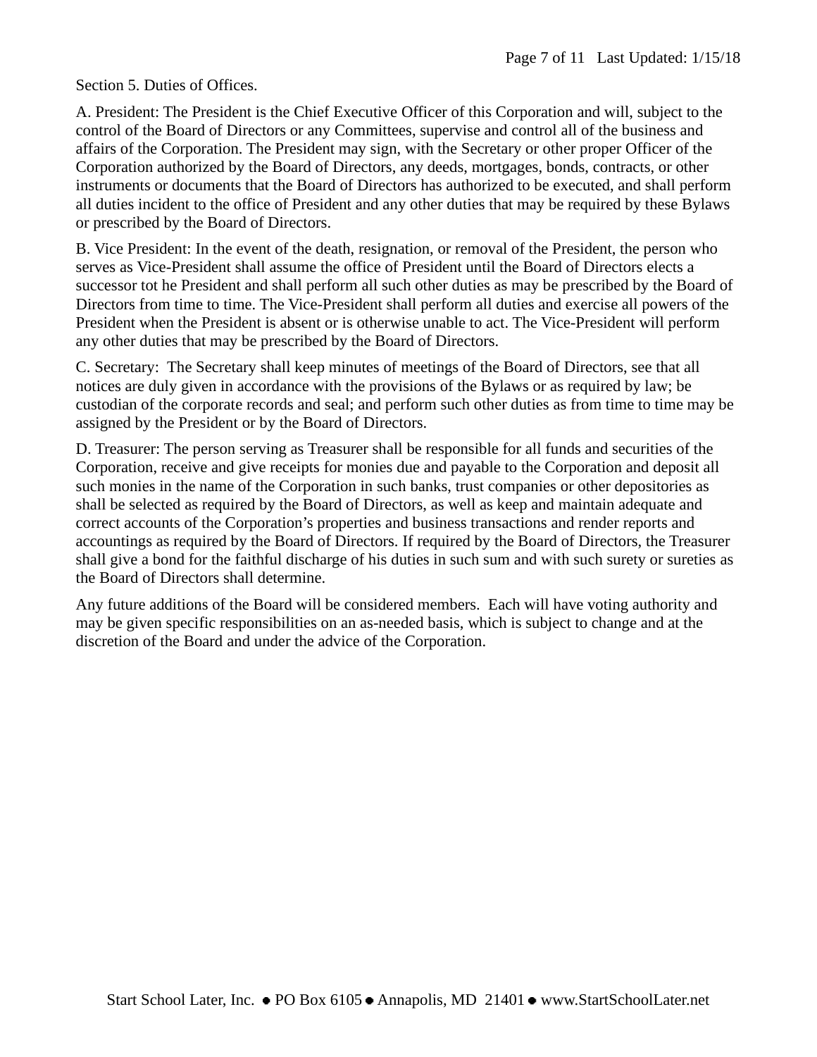#### Section 5. Duties of Offices.

A. President: The President is the Chief Executive Officer of this Corporation and will, subject to the control of the Board of Directors or any Committees, supervise and control all of the business and affairs of the Corporation. The President may sign, with the Secretary or other proper Officer of the Corporation authorized by the Board of Directors, any deeds, mortgages, bonds, contracts, or other instruments or documents that the Board of Directors has authorized to be executed, and shall perform all duties incident to the office of President and any other duties that may be required by these Bylaws or prescribed by the Board of Directors.

B. Vice President: In the event of the death, resignation, or removal of the President, the person who serves as Vice-President shall assume the office of President until the Board of Directors elects a successor tot he President and shall perform all such other duties as may be prescribed by the Board of Directors from time to time. The Vice-President shall perform all duties and exercise all powers of the President when the President is absent or is otherwise unable to act. The Vice-President will perform any other duties that may be prescribed by the Board of Directors.

C. Secretary: The Secretary shall keep minutes of meetings of the Board of Directors, see that all notices are duly given in accordance with the provisions of the Bylaws or as required by law; be custodian of the corporate records and seal; and perform such other duties as from time to time may be assigned by the President or by the Board of Directors.

D. Treasurer: The person serving as Treasurer shall be responsible for all funds and securities of the Corporation, receive and give receipts for monies due and payable to the Corporation and deposit all such monies in the name of the Corporation in such banks, trust companies or other depositories as shall be selected as required by the Board of Directors, as well as keep and maintain adequate and correct accounts of the Corporation's properties and business transactions and render reports and accountings as required by the Board of Directors. If required by the Board of Directors, the Treasurer shall give a bond for the faithful discharge of his duties in such sum and with such surety or sureties as the Board of Directors shall determine.

Any future additions of the Board will be considered members. Each will have voting authority and may be given specific responsibilities on an as-needed basis, which is subject to change and at the discretion of the Board and under the advice of the Corporation.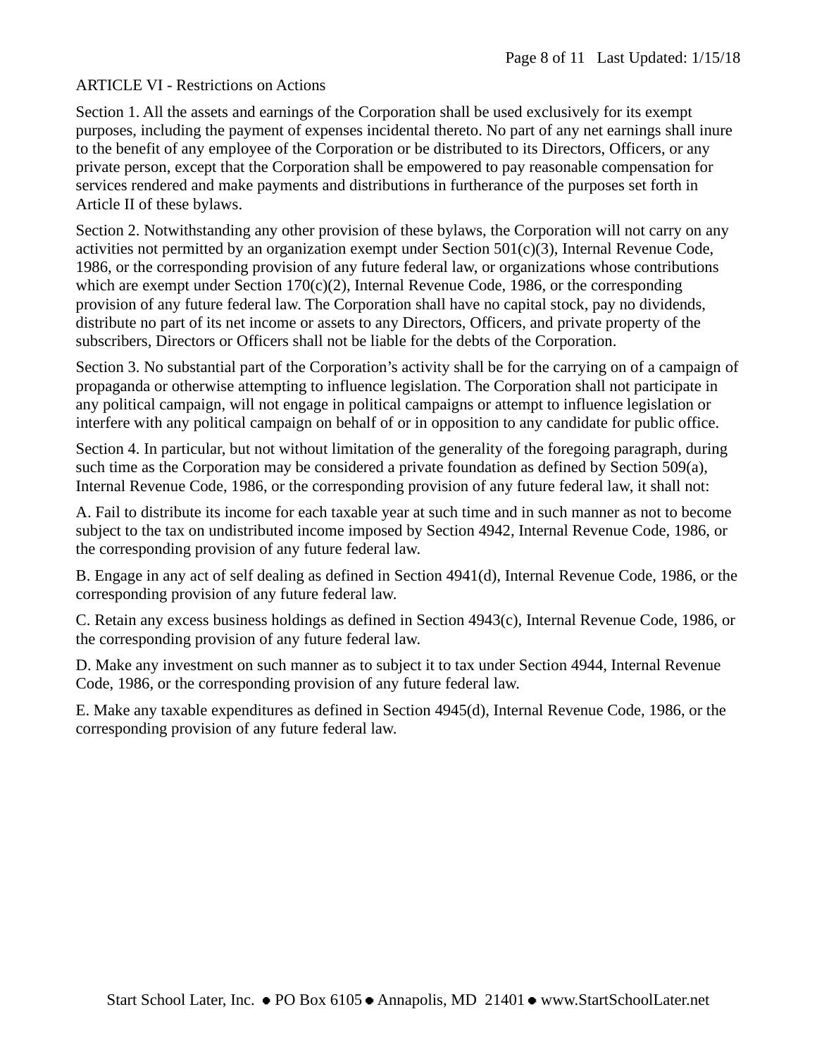## <span id="page-7-0"></span>ARTICLE VI - Restrictions on Actions

Section 1. All the assets and earnings of the Corporation shall be used exclusively for its exempt purposes, including the payment of expenses incidental thereto. No part of any net earnings shall inure to the benefit of any employee of the Corporation or be distributed to its Directors, Officers, or any private person, except that the Corporation shall be empowered to pay reasonable compensation for services rendered and make payments and distributions in furtherance of the purposes set forth in Article II of these bylaws.

Section 2. Notwithstanding any other provision of these bylaws, the Corporation will not carry on any activities not permitted by an organization exempt under Section 501(c)(3), Internal Revenue Code, 1986, or the corresponding provision of any future federal law, or organizations whose contributions which are exempt under Section 170(c)(2), Internal Revenue Code, 1986, or the corresponding provision of any future federal law. The Corporation shall have no capital stock, pay no dividends, distribute no part of its net income or assets to any Directors, Officers, and private property of the subscribers, Directors or Officers shall not be liable for the debts of the Corporation.

Section 3. No substantial part of the Corporation's activity shall be for the carrying on of a campaign of propaganda or otherwise attempting to influence legislation. The Corporation shall not participate in any political campaign, will not engage in political campaigns or attempt to influence legislation or interfere with any political campaign on behalf of or in opposition to any candidate for public office.

Section 4. In particular, but not without limitation of the generality of the foregoing paragraph, during such time as the Corporation may be considered a private foundation as defined by Section 509(a), Internal Revenue Code, 1986, or the corresponding provision of any future federal law, it shall not:

A. Fail to distribute its income for each taxable year at such time and in such manner as not to become subject to the tax on undistributed income imposed by Section 4942, Internal Revenue Code, 1986, or the corresponding provision of any future federal law.

B. Engage in any act of self dealing as defined in Section 4941(d), Internal Revenue Code, 1986, or the corresponding provision of any future federal law.

C. Retain any excess business holdings as defined in Section 4943(c), Internal Revenue Code, 1986, or the corresponding provision of any future federal law.

D. Make any investment on such manner as to subject it to tax under Section 4944, Internal Revenue Code, 1986, or the corresponding provision of any future federal law.

E. Make any taxable expenditures as defined in Section 4945(d), Internal Revenue Code, 1986, or the corresponding provision of any future federal law.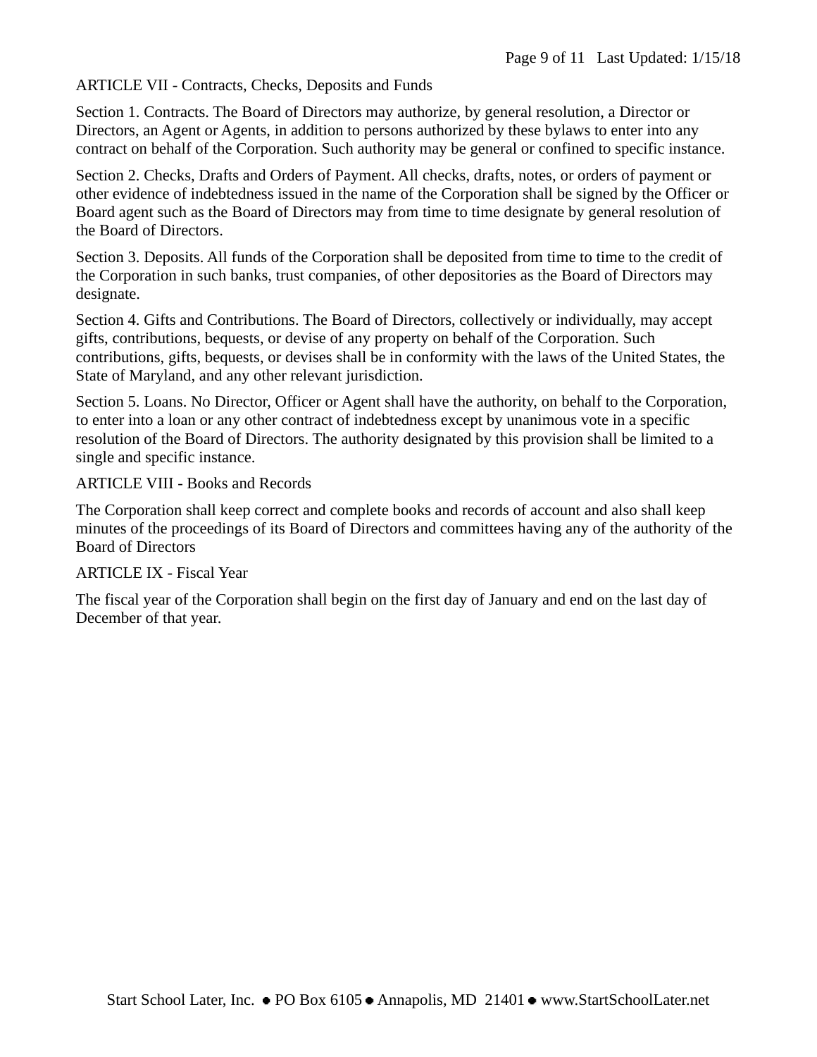<span id="page-8-0"></span>ARTICLE VII - Contracts, Checks, Deposits and Funds

Section 1. Contracts. The Board of Directors may authorize, by general resolution, a Director or Directors, an Agent or Agents, in addition to persons authorized by these bylaws to enter into any contract on behalf of the Corporation. Such authority may be general or confined to specific instance.

Section 2. Checks, Drafts and Orders of Payment. All checks, drafts, notes, or orders of payment or other evidence of indebtedness issued in the name of the Corporation shall be signed by the Officer or Board agent such as the Board of Directors may from time to time designate by general resolution of the Board of Directors.

Section 3. Deposits. All funds of the Corporation shall be deposited from time to time to the credit of the Corporation in such banks, trust companies, of other depositories as the Board of Directors may designate.

Section 4. Gifts and Contributions. The Board of Directors, collectively or individually, may accept gifts, contributions, bequests, or devise of any property on behalf of the Corporation. Such contributions, gifts, bequests, or devises shall be in conformity with the laws of the United States, the State of Maryland, and any other relevant jurisdiction.

Section 5. Loans. No Director, Officer or Agent shall have the authority, on behalf to the Corporation, to enter into a loan or any other contract of indebtedness except by unanimous vote in a specific resolution of the Board of Directors. The authority designated by this provision shall be limited to a single and specific instance.

<span id="page-8-1"></span>ARTICLE VIII - Books and Records

The Corporation shall keep correct and complete books and records of account and also shall keep minutes of the proceedings of its Board of Directors and committees having any of the authority of the Board of Directors

## <span id="page-8-2"></span>ARTICLE IX - Fiscal Year

The fiscal year of the Corporation shall begin on the first day of January and end on the last day of December of that year.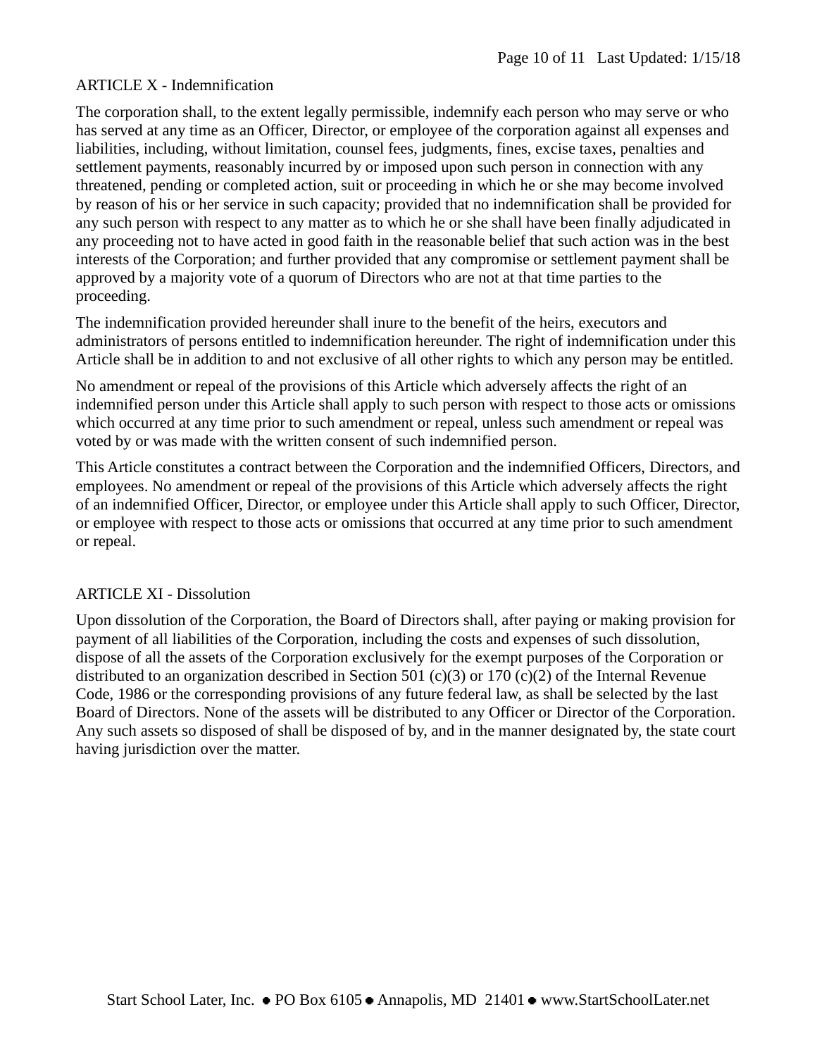## <span id="page-9-0"></span>ARTICLE X - Indemnification

The corporation shall, to the extent legally permissible, indemnify each person who may serve or who has served at any time as an Officer, Director, or employee of the corporation against all expenses and liabilities, including, without limitation, counsel fees, judgments, fines, excise taxes, penalties and settlement payments, reasonably incurred by or imposed upon such person in connection with any threatened, pending or completed action, suit or proceeding in which he or she may become involved by reason of his or her service in such capacity; provided that no indemnification shall be provided for any such person with respect to any matter as to which he or she shall have been finally adjudicated in any proceeding not to have acted in good faith in the reasonable belief that such action was in the best interests of the Corporation; and further provided that any compromise or settlement payment shall be approved by a majority vote of a quorum of Directors who are not at that time parties to the proceeding.

The indemnification provided hereunder shall inure to the benefit of the heirs, executors and administrators of persons entitled to indemnification hereunder. The right of indemnification under this Article shall be in addition to and not exclusive of all other rights to which any person may be entitled.

No amendment or repeal of the provisions of this Article which adversely affects the right of an indemnified person under this Article shall apply to such person with respect to those acts or omissions which occurred at any time prior to such amendment or repeal, unless such amendment or repeal was voted by or was made with the written consent of such indemnified person.

This Article constitutes a contract between the Corporation and the indemnified Officers, Directors, and employees. No amendment or repeal of the provisions of this Article which adversely affects the right of an indemnified Officer, Director, or employee under this Article shall apply to such Officer, Director, or employee with respect to those acts or omissions that occurred at any time prior to such amendment or repeal.

## <span id="page-9-1"></span>ARTICLE XI - Dissolution

Upon dissolution of the Corporation, the Board of Directors shall, after paying or making provision for payment of all liabilities of the Corporation, including the costs and expenses of such dissolution, dispose of all the assets of the Corporation exclusively for the exempt purposes of the Corporation or distributed to an organization described in Section 501 (c)(3) or 170 (c)(2) of the Internal Revenue Code, 1986 or the corresponding provisions of any future federal law, as shall be selected by the last Board of Directors. None of the assets will be distributed to any Officer or Director of the Corporation. Any such assets so disposed of shall be disposed of by, and in the manner designated by, the state court having jurisdiction over the matter.